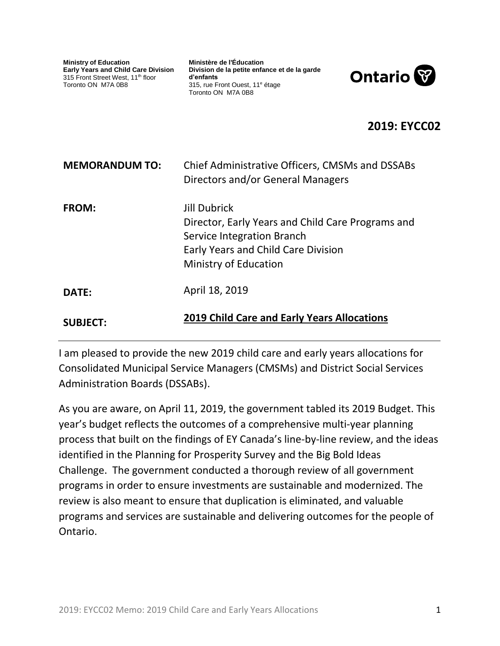#### CSSSJSSC19-004 Appendix B

**Ministry of Education Early Years and Child Care Division** 315 Front Street West, 11<sup>th</sup> floor Toronto ON M7A 0B8

**Ministère de l'Éducation Division de la petite enfance et de la garde d'enfants** 315, rue Front Ouest, 11<sup>e</sup> étage Toronto ON M7A 0B8



## **2019: EYCC02**

| <b>MEMORANDUM TO:</b> | Chief Administrative Officers, CMSMs and DSSABs<br>Directors and/or General Managers                                                                                          |  |  |  |  |
|-----------------------|-------------------------------------------------------------------------------------------------------------------------------------------------------------------------------|--|--|--|--|
| FROM:                 | Jill Dubrick<br>Director, Early Years and Child Care Programs and<br>Service Integration Branch<br><b>Early Years and Child Care Division</b><br><b>Ministry of Education</b> |  |  |  |  |
| DATE:                 | April 18, 2019                                                                                                                                                                |  |  |  |  |
| <b>SUBJECT:</b>       | <b>2019 Child Care and Early Years Allocations</b>                                                                                                                            |  |  |  |  |

I am pleased to provide the new 2019 child care and early years allocations for Consolidated Municipal Service Managers (CMSMs) and District Social Services Administration Boards (DSSABs).

As you are aware, on April 11, 2019, the government tabled its 2019 Budget. This year's budget reflects the outcomes of a comprehensive multi-year planning process that built on the findings of EY Canada's line-by-line review, and the ideas identified in the Planning for Prosperity Survey and the Big Bold Ideas Challenge. The government conducted a thorough review of all government programs in order to ensure investments are sustainable and modernized. The review is also meant to ensure that duplication is eliminated, and valuable programs and services are sustainable and delivering outcomes for the people of Ontario.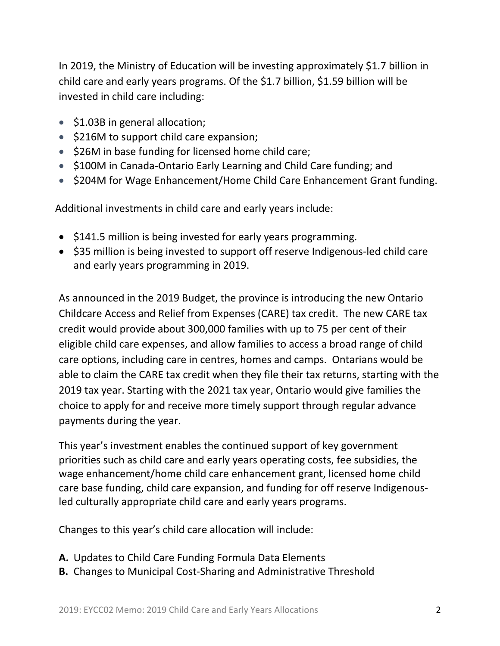In 2019, the Ministry of Education will be investing approximately \$1.7 billion in child care and early years programs. Of the \$1.7 billion, \$1.59 billion will be invested in child care including:

- \$1.03B in general allocation;
- $\bullet$  \$216M to support child care expansion;
- $\bullet$  \$26M in base funding for licensed home child care;
- \$100M in Canada-Ontario Early Learning and Child Care funding; and
- \$204M for Wage Enhancement/Home Child Care Enhancement Grant funding.

Additional investments in child care and early years include:

- \$141.5 million is being invested for early years programming.
- \$35 million is being invested to support off reserve Indigenous-led child care and early years programming in 2019.

As announced in the 2019 Budget, the province is introducing the new Ontario Childcare Access and Relief from Expenses (CARE) tax credit. The new CARE tax credit would provide about 300,000 families with up to 75 per cent of their eligible child care expenses, and allow families to access a broad range of child care options, including care in centres, homes and camps. Ontarians would be able to claim the CARE tax credit when they file their tax returns, starting with the 2019 tax year. Starting with the 2021 tax year, Ontario would give families the choice to apply for and receive more timely support through regular advance payments during the year.

This year's investment enables the continued support of key government priorities such as child care and early years operating costs, fee subsidies, the wage enhancement/home child care enhancement grant, licensed home child care base funding, child care expansion, and funding for off reserve Indigenousled culturally appropriate child care and early years programs.

Changes to this year's child care allocation will include:

- **A.** Updates to Child Care Funding Formula Data Elements
- **B.** Changes to Municipal Cost-Sharing and Administrative Threshold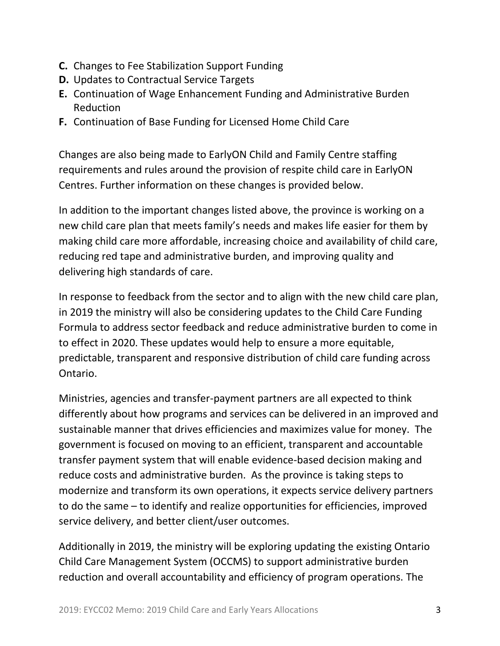- **C.** Changes to Fee Stabilization Support Funding
- **D.** Updates to Contractual Service Targets
- **E.** Continuation of Wage Enhancement Funding and Administrative Burden Reduction
- **F.** Continuation of Base Funding for Licensed Home Child Care

Changes are also being made to EarlyON Child and Family Centre staffing requirements and rules around the provision of respite child care in EarlyON Centres. Further information on these changes is provided below.

In addition to the important changes listed above, the province is working on a new child care plan that meets family's needs and makes life easier for them by making child care more affordable, increasing choice and availability of child care, reducing red tape and administrative burden, and improving quality and delivering high standards of care.

In response to feedback from the sector and to align with the new child care plan, in 2019 the ministry will also be considering updates to the Child Care Funding Formula to address sector feedback and reduce administrative burden to come in to effect in 2020. These updates would help to ensure a more equitable, predictable, transparent and responsive distribution of child care funding across Ontario.

Ministries, agencies and transfer-payment partners are all expected to think differently about how programs and services can be delivered in an improved and sustainable manner that drives efficiencies and maximizes value for money. The government is focused on moving to an efficient, transparent and accountable transfer payment system that will enable evidence-based decision making and reduce costs and administrative burden. As the province is taking steps to modernize and transform its own operations, it expects service delivery partners to do the same – to identify and realize opportunities for efficiencies, improved service delivery, and better client/user outcomes.

Additionally in 2019, the ministry will be exploring updating the existing Ontario Child Care Management System (OCCMS) to support administrative burden reduction and overall accountability and efficiency of program operations. The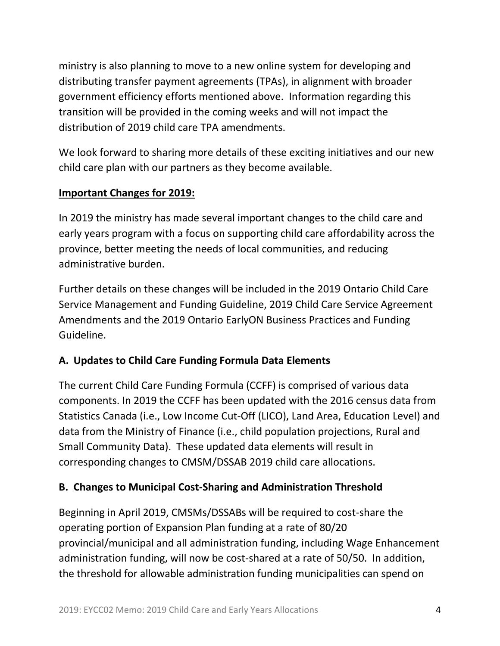ministry is also planning to move to a new online system for developing and distributing transfer payment agreements (TPAs), in alignment with broader government efficiency efforts mentioned above. Information regarding this transition will be provided in the coming weeks and will not impact the distribution of 2019 child care TPA amendments.

We look forward to sharing more details of these exciting initiatives and our new child care plan with our partners as they become available.

### **Important Changes for 2019:**

In 2019 the ministry has made several important changes to the child care and early years program with a focus on supporting child care affordability across the province, better meeting the needs of local communities, and reducing administrative burden.

Further details on these changes will be included in the 2019 Ontario Child Care Service Management and Funding Guideline, 2019 Child Care Service Agreement Amendments and the 2019 Ontario EarlyON Business Practices and Funding Guideline.

# **A. Updates to Child Care Funding Formula Data Elements**

The current Child Care Funding Formula (CCFF) is comprised of various data components. In 2019 the CCFF has been updated with the 2016 census data from Statistics Canada (i.e., Low Income Cut-Off (LICO), Land Area, Education Level) and data from the Ministry of Finance (i.e., child population projections, Rural and Small Community Data). These updated data elements will result in corresponding changes to CMSM/DSSAB 2019 child care allocations.

# **B. Changes to Municipal Cost-Sharing and Administration Threshold**

Beginning in April 2019, CMSMs/DSSABs will be required to cost-share the operating portion of Expansion Plan funding at a rate of 80/20 provincial/municipal and all administration funding, including Wage Enhancement administration funding, will now be cost-shared at a rate of 50/50. In addition, the threshold for allowable administration funding municipalities can spend on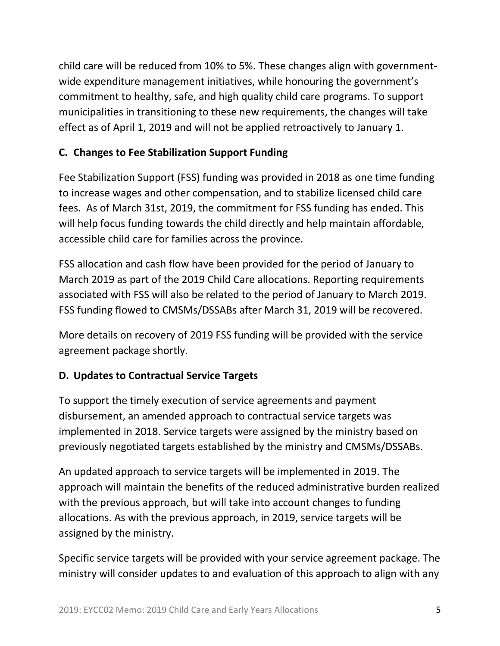child care will be reduced from 10% to 5%. These changes align with governmentwide expenditure management initiatives, while honouring the government's commitment to healthy, safe, and high quality child care programs. To support municipalities in transitioning to these new requirements, the changes will take effect as of April 1, 2019 and will not be applied retroactively to January 1.

## **C. Changes to Fee Stabilization Support Funding**

Fee Stabilization Support (FSS) funding was provided in 2018 as one time funding to increase wages and other compensation, and to stabilize licensed child care fees. As of March 31st, 2019, the commitment for FSS funding has ended. This will help focus funding towards the child directly and help maintain affordable, accessible child care for families across the province.

FSS allocation and cash flow have been provided for the period of January to March 2019 as part of the 2019 Child Care allocations. Reporting requirements associated with FSS will also be related to the period of January to March 2019. FSS funding flowed to CMSMs/DSSABs after March 31, 2019 will be recovered.

More details on recovery of 2019 FSS funding will be provided with the service agreement package shortly.

### **D. Updates to Contractual Service Targets**

To support the timely execution of service agreements and payment disbursement, an amended approach to contractual service targets was implemented in 2018. Service targets were assigned by the ministry based on previously negotiated targets established by the ministry and CMSMs/DSSABs.

An updated approach to service targets will be implemented in 2019. The approach will maintain the benefits of the reduced administrative burden realized with the previous approach, but will take into account changes to funding allocations. As with the previous approach, in 2019, service targets will be assigned by the ministry.

Specific service targets will be provided with your service agreement package. The ministry will consider updates to and evaluation of this approach to align with any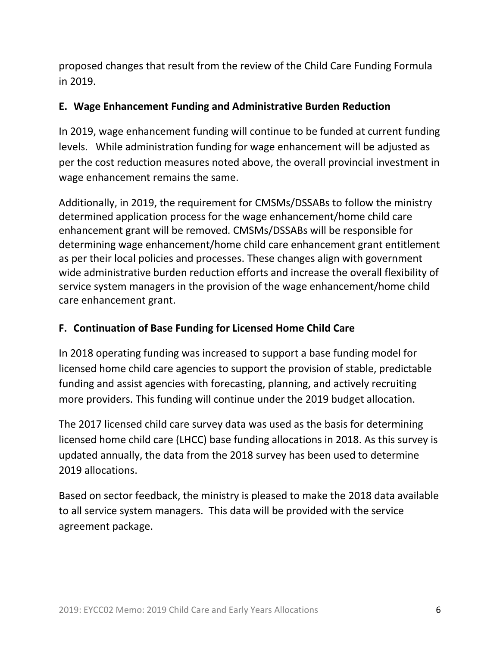proposed changes that result from the review of the Child Care Funding Formula in 2019.

### **E. Wage Enhancement Funding and Administrative Burden Reduction**

In 2019, wage enhancement funding will continue to be funded at current funding levels. While administration funding for wage enhancement will be adjusted as per the cost reduction measures noted above, the overall provincial investment in wage enhancement remains the same.

Additionally, in 2019, the requirement for CMSMs/DSSABs to follow the ministry determined application process for the wage enhancement/home child care enhancement grant will be removed. CMSMs/DSSABs will be responsible for determining wage enhancement/home child care enhancement grant entitlement as per their local policies and processes. These changes align with government wide administrative burden reduction efforts and increase the overall flexibility of service system managers in the provision of the wage enhancement/home child care enhancement grant.

# **F. Continuation of Base Funding for Licensed Home Child Care**

In 2018 operating funding was increased to support a base funding model for licensed home child care agencies to support the provision of stable, predictable funding and assist agencies with forecasting, planning, and actively recruiting more providers. This funding will continue under the 2019 budget allocation.

The 2017 licensed child care survey data was used as the basis for determining licensed home child care (LHCC) base funding allocations in 2018. As this survey is updated annually, the data from the 2018 survey has been used to determine 2019 allocations.

Based on sector feedback, the ministry is pleased to make the 2018 data available to all service system managers. This data will be provided with the service agreement package.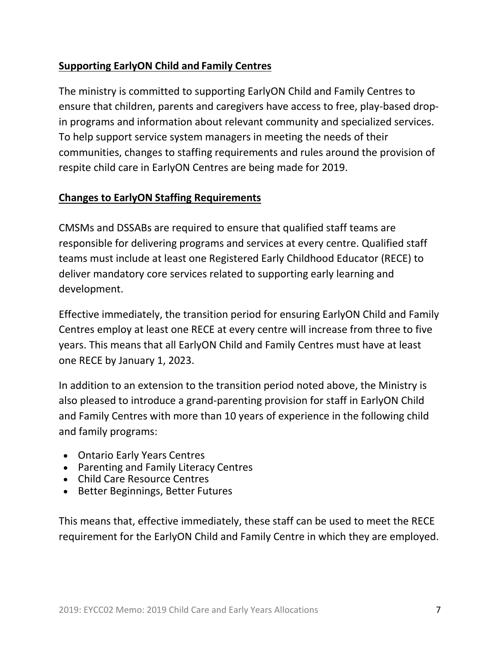## **Supporting EarlyON Child and Family Centres**

The ministry is committed to supporting EarlyON Child and Family Centres to ensure that children, parents and caregivers have access to free, play-based dropin programs and information about relevant community and specialized services. To help support service system managers in meeting the needs of their communities, changes to staffing requirements and rules around the provision of respite child care in EarlyON Centres are being made for 2019.

#### **Changes to EarlyON Staffing Requirements**

CMSMs and DSSABs are required to ensure that qualified staff teams are responsible for delivering programs and services at every centre. Qualified staff teams must include at least one Registered Early Childhood Educator (RECE) to deliver mandatory core services related to supporting early learning and development.

Effective immediately, the transition period for ensuring EarlyON Child and Family Centres employ at least one RECE at every centre will increase from three to five years. This means that all EarlyON Child and Family Centres must have at least one RECE by January 1, 2023.

In addition to an extension to the transition period noted above, the Ministry is also pleased to introduce a grand-parenting provision for staff in EarlyON Child and Family Centres with more than 10 years of experience in the following child and family programs:

- Ontario Early Years Centres
- Parenting and Family Literacy Centres
- Child Care Resource Centres
- Better Beginnings, Better Futures

This means that, effective immediately, these staff can be used to meet the RECE requirement for the EarlyON Child and Family Centre in which they are employed.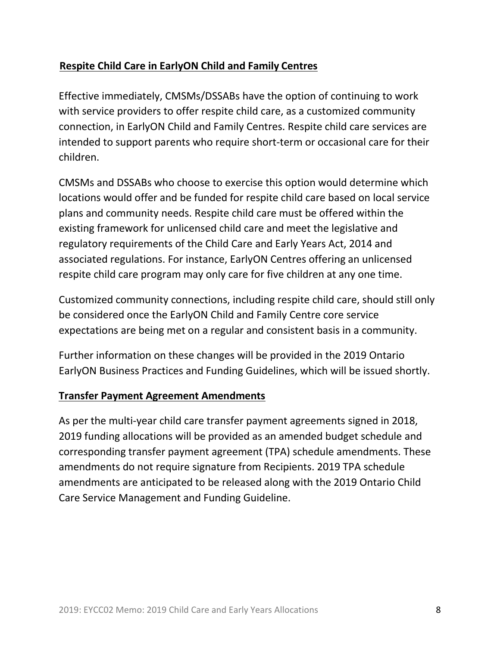## **Respite Child Care in EarlyON Child and Family Centres**

Effective immediately, CMSMs/DSSABs have the option of continuing to work with service providers to offer respite child care, as a customized community connection, in EarlyON Child and Family Centres. Respite child care services are intended to support parents who require short-term or occasional care for their children.

CMSMs and DSSABs who choose to exercise this option would determine which locations would offer and be funded for respite child care based on local service plans and community needs. Respite child care must be offered within the existing framework for unlicensed child care and meet the legislative and regulatory requirements of the Child Care and Early Years Act, 2014 and associated regulations. For instance, EarlyON Centres offering an unlicensed respite child care program may only care for five children at any one time.

Customized community connections, including respite child care, should still only be considered once the EarlyON Child and Family Centre core service expectations are being met on a regular and consistent basis in a community.

Further information on these changes will be provided in the 2019 Ontario EarlyON Business Practices and Funding Guidelines, which will be issued shortly.

#### **Transfer Payment Agreement Amendments**

As per the multi-year child care transfer payment agreements signed in 2018, 2019 funding allocations will be provided as an amended budget schedule and corresponding transfer payment agreement (TPA) schedule amendments. These amendments do not require signature from Recipients. 2019 TPA schedule amendments are anticipated to be released along with the 2019 Ontario Child Care Service Management and Funding Guideline.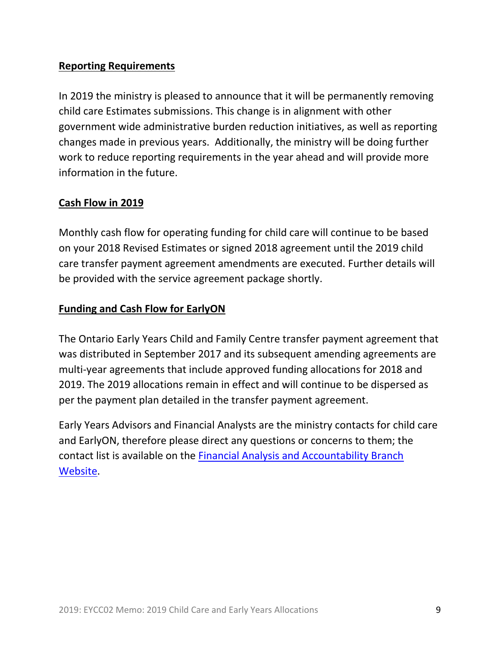### **Reporting Requirements**

In 2019 the ministry is pleased to announce that it will be permanently removing child care Estimates submissions. This change is in alignment with other government wide administrative burden reduction initiatives, as well as reporting changes made in previous years. Additionally, the ministry will be doing further work to reduce reporting requirements in the year ahead and will provide more information in the future.

#### **Cash Flow in 2019**

Monthly cash flow for operating funding for child care will continue to be based on your 2018 Revised Estimates or signed 2018 agreement until the 2019 child care transfer payment agreement amendments are executed. Further details will be provided with the service agreement package shortly.

#### **Funding and Cash Flow for EarlyON**

The Ontario Early Years Child and Family Centre transfer payment agreement that was distributed in September 2017 and its subsequent amending agreements are multi-year agreements that include approved funding allocations for 2018 and 2019. The 2019 allocations remain in effect and will continue to be dispersed as per the payment plan detailed in the transfer payment agreement.

Early Years Advisors and Financial Analysts are the ministry contacts for child care and EarlyON, therefore please direct any questions or concerns to them; the contact list is available on the [Financial Analysis and Accountability Branch](https://efis.fma.csc.gov.on.ca/faab/Contact_Us.htm)  [Website.](https://efis.fma.csc.gov.on.ca/faab/Contact_Us.htm)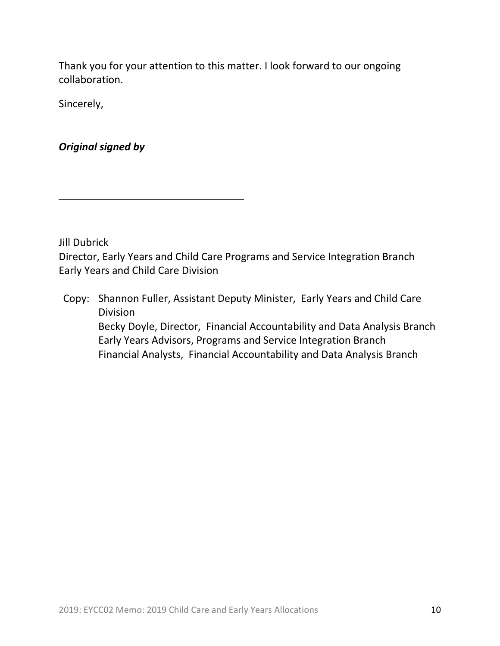Thank you for your attention to this matter. I look forward to our ongoing collaboration.

Sincerely,

*Original signed by*

Jill Dubrick

Director, Early Years and Child Care Programs and Service Integration Branch Early Years and Child Care Division

Copy: Shannon Fuller, Assistant Deputy Minister, Early Years and Child Care Division Becky Doyle, Director, Financial Accountability and Data Analysis Branch Early Years Advisors, Programs and Service Integration Branch Financial Analysts, Financial Accountability and Data Analysis Branch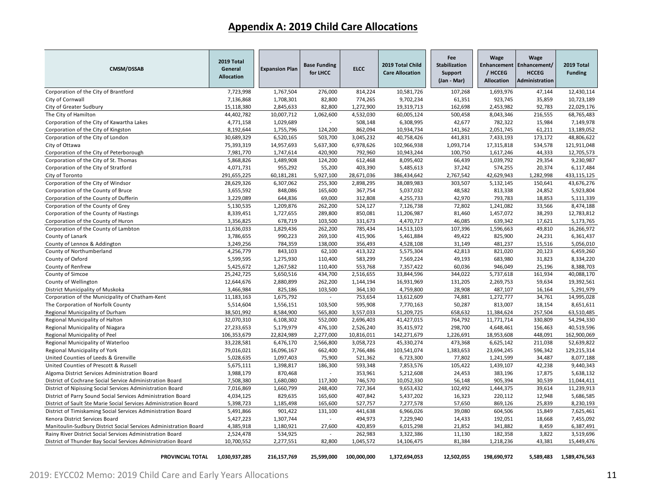### **Appendix A: 2019 Child Care Allocations**

| <b>CMSM/DSSAB</b>                                                | 2019 Total<br>General<br><b>Allocation</b> | <b>Expansion Plan</b> | <b>Base Funding</b><br>for LHCC | <b>ELCC</b> | 2019 Total Child<br><b>Care Allocation</b> | Fee<br><b>Stabilization</b><br>Support<br>(Jan - Mar) | Wage<br>/ HCCEG<br><b>Allocation</b> | Wage<br>Enhancement   Enhancement/<br><b>HCCEG</b><br>Administration | 2019 Total<br><b>Funding</b> |
|------------------------------------------------------------------|--------------------------------------------|-----------------------|---------------------------------|-------------|--------------------------------------------|-------------------------------------------------------|--------------------------------------|----------------------------------------------------------------------|------------------------------|
| Corporation of the City of Brantford                             | 7,723,998                                  | 1,767,504             | 276,000                         | 814,224     | 10,581,726                                 | 107,268                                               | 1,693,976                            | 47,144                                                               | 12,430,114                   |
| City of Cornwall                                                 | 7,136,868                                  | 1,708,301             | 82,800                          | 774,265     | 9,702,234                                  | 61,351                                                | 923,745                              | 35,859                                                               | 10,723,189                   |
| City of Greater Sudbury                                          | 15,118,380                                 | 2,845,633             | 82,800                          | 1,272,900   | 19,319,713                                 | 162,698                                               | 2,453,982                            | 92,783                                                               | 22,029,176                   |
| The City of Hamilton                                             | 44,402,782                                 | 10,007,712            | 1,062,600                       | 4,532,030   | 60,005,124                                 | 500,458                                               | 8,043,346                            | 216,555                                                              | 68,765,483                   |
| Corporation of the City of Kawartha Lakes                        | 4,771,158                                  | 1,029,689             |                                 | 508,148     | 6,308,995                                  | 42,677                                                | 782,322                              | 15,984                                                               | 7,149,978                    |
| Corporation of the City of Kingston                              | 8,192,644                                  | 1,755,796             | 124,200                         | 862,094     | 10,934,734                                 | 141,362                                               | 2,051,745                            | 61,211                                                               | 13,189,052                   |
| Corporation of the City of London                                | 30,689,329                                 | 6,520,165             | 503,700                         | 3,045,232   | 40,758,426                                 | 441,831                                               | 7,433,193                            | 173,172                                                              | 48,806,622                   |
| City of Ottawa                                                   | 75,393,319                                 | 14,957,693            | 5,637,300                       | 6,978,626   | 102,966,938                                | 1,093,714                                             | 17,315,818                           | 534,578                                                              | 121,911,048                  |
| Corporation of the City of Peterborough                          | 7,981,770                                  | 1,747,614             | 420,900                         | 792,960     | 10,943,244                                 | 100,750                                               | 1,617,246                            | 44,333                                                               | 12,705,573                   |
| Corporation of the City of St. Thomas                            | 5,868,826                                  | 1,489,908             | 124,200                         | 612,468     | 8,095,402                                  | 66,439                                                | 1,039,792                            | 29,354                                                               | 9,230,987                    |
| Corporation of the City of Stratford                             | 4,071,731                                  | 955,292               | 55,200                          | 403,390     | 5,485,613                                  | 37,242                                                | 574,255                              | 20,374                                                               | 6,117,484                    |
| City of Toronto                                                  | 291,655,225                                | 60,181,281            | 5,927,100                       | 28,671,036  | 386,434,642                                | 2,767,542                                             | 42,629,943                           | 1,282,998                                                            | 433,115,125                  |
| Corporation of the City of Windsor                               | 28,629,326                                 | 6,307,062             | 255,300                         | 2,898,295   | 38,089,983                                 | 303,507                                               | 5,132,145                            | 150,641                                                              | 43,676,276                   |
| Corporation of the County of Bruce                               | 3,655,592                                  | 848,086               | 165,600                         | 367,754     | 5,037,032                                  | 48,582                                                | 813,338                              | 24,852                                                               | 5,923,804                    |
| Corporation of the County of Dufferin                            | 3,229,089                                  | 644,836               | 69,000                          | 312,808     | 4,255,733                                  | 42,970                                                | 793,783                              | 18,853                                                               | 5,111,339                    |
| Corporation of the County of Grey                                | 5,130,535                                  | 1,209,876             | 262,200                         | 524,127     | 7,126,738                                  | 72,802                                                | 1,241,082                            | 33,566                                                               | 8,474,188                    |
| Corporation of the County of Hastings                            | 8,339,451                                  | 1,727,655             | 289,800                         | 850,081     | 11,206,987                                 | 81,460                                                | 1,457,072                            | 38,293                                                               | 12,783,812                   |
| Corporation of the County of Huron                               | 3,356,825                                  | 678,719               | 103,500                         | 331,673     | 4,470,717                                  | 46,085                                                | 639,342                              | 17,621                                                               | 5,173,765                    |
| Corporation of the County of Lambton                             | 11,636,033                                 | 1,829,436             | 262,200                         | 785,434     | 14,513,103                                 | 107,396                                               | 1,596,663                            | 49,810                                                               | 16,266,972                   |
| County of Lanark                                                 | 3,786,655                                  | 990,223               | 269,100                         | 415,906     | 5,461,884                                  | 49,422                                                | 825,900                              | 24,231                                                               | 6,361,437                    |
| County of Lennox & Addington                                     | 3,249,256                                  | 784,359               | 138,000                         | 356,493     | 4,528,108                                  | 31,149                                                | 481,237                              | 15,516                                                               | 5,056,010                    |
| County of Northumberland                                         | 4,256,779                                  | 843,103               | 62,100                          | 413,322     | 5,575,304                                  | 42,813                                                | 821,020                              | 20,123                                                               | 6,459,260                    |
| County of Oxford                                                 | 5,599,595                                  | 1,275,930             | 110,400                         | 583,299     | 7,569,224                                  | 49,193                                                | 683,980                              | 31,823                                                               | 8,334,220                    |
| County of Renfrew                                                | 5,425,672                                  | 1,267,582             | 110,400                         | 553,768     | 7,357,422                                  | 60,036                                                | 946,049                              | 25,196                                                               | 8,388,703                    |
| County of Simcoe                                                 | 25,242,725                                 | 5,650,516             | 434,700                         | 2,516,655   | 33,844,596                                 | 344,022                                               | 5,737,618                            | 161,934                                                              | 40,088,170                   |
| County of Wellington                                             | 12,644,676                                 | 2,880,899             | 262,200                         | 1,144,194   | 16,931,969                                 | 131,205                                               | 2,269,753                            | 59,634                                                               | 19,392,561                   |
| District Municipality of Muskoka                                 | 3,466,984                                  | 825,186               | 103,500                         | 364,130     | 4,759,800                                  | 28,908                                                | 487,107                              | 16,164                                                               | 5,291,979                    |
| Corporation of the Municipality of Chatham-Kent                  | 11,183,163                                 | 1,675,792             |                                 | 753,654     | 13,612,609                                 | 74,881                                                | 1,272,777                            | 34,761                                                               | 14,995,028                   |
| The Corporation of Norfolk County                                | 5,514,604                                  | 1,556,151             | 103,500                         | 595,908     | 7,770,163                                  | 50,287                                                | 813,007                              | 18,154                                                               | 8,651,611                    |
| Regional Municipality of Durham                                  | 38,501,992                                 | 8,584,900             | 565,800                         | 3,557,033   | 51,209,725                                 | 658,632                                               | 11,384,624                           | 257,504                                                              | 63,510,485                   |
| Regional Municipality of Halton                                  | 32,070,310                                 | 6,108,302             | 552,000                         | 2,696,403   | 41,427,015                                 | 764,792                                               | 11,771,714                           | 330,809                                                              | 54,294,330                   |
| Regional Municipality of Niagara                                 | 27,233,653                                 | 5,179,979             | 476,100                         | 2,526,240   | 35,415,972                                 | 298,700                                               | 4,648,461                            | 156,463                                                              | 40,519,596                   |
| Regional Municipality of Peel                                    | 106,353,679                                | 22,824,989            | 2,277,000                       | 10,816,011  | 142,271,679                                | 1,226,691                                             | 18,953,608                           | 448,091                                                              | 162,900,069                  |
| Regional Municipality of Waterloo                                | 33,228,581                                 | 6,476,170             | 2,566,800                       | 3,058,723   | 45,330,274                                 | 473,368                                               | 6,625,142                            | 211,038                                                              | 52,639,822                   |
| Regional Municipality of York                                    | 79,016,021                                 | 16,096,167            | 662,400                         | 7,766,486   | 103,541,074                                | 1,383,653                                             | 23,694,245                           | 596,342                                                              | 129,215,314                  |
| United Counties of Leeds & Grenville                             | 5,028,635                                  | 1,097,403             | 75,900                          | 521,362     | 6,723,300                                  | 77,802                                                | 1,241,599                            | 34,487                                                               | 8,077,188                    |
| United Counties of Prescott & Russell                            | 5,675,111                                  | 1,398,817             | 186,300                         | 593,348     | 7,853,576                                  | 105,422                                               | 1,439,107                            | 42,238                                                               | 9,440,343                    |
| Algoma District Services Administration Board                    | 3,988,179                                  | 870,468               |                                 | 353,961     | 5,212,608                                  | 24,453                                                | 383,196                              | 17,875                                                               | 5,638,132                    |
| District of Cochrane Social Service Administration Board         | 7,508,380                                  | 1,680,080             | 117,300                         | 746,570     | 10,052,330                                 | 56,148                                                | 905,394                              | 30,539                                                               | 11,044,411                   |
| District of Nipissing Social Services Administration Board       | 7,016,869                                  | 1,660,799             | 248,400                         | 727,364     | 9,653,432                                  | 102,492                                               | 1,444,375                            | 39,614                                                               | 11,239,913                   |
| District of Parry Sound Social Services Administration Board     | 4,034,125                                  | 829,635               | 165,600                         | 407,842     | 5,437,202                                  | 16,323                                                | 220,112                              | 12,948                                                               | 5,686,585                    |
| District of Sault Ste Marie Social Services Administration Board | 5,398,723                                  | 1,185,498             | 165,600                         | 527,757     | 7,277,578                                  | 57,650                                                | 869,126                              | 25,839                                                               | 8,230,193                    |
| District of Timiskaming Social Services Administration Board     | 5,491,866                                  | 901,422               | 131,100                         | 441,638     | 6,966,026                                  | 39,080                                                | 604,506                              | 15,849                                                               | 7,625,461                    |
| Kenora District Services Board                                   | 5,427,223                                  | 1,307,744             | $\sim$                          | 494,973     | 7,229,940                                  | 14,433                                                | 192,051                              | 18,668                                                               | 7,455,092                    |
| Manitoulin-Sudbury District Social Services Administration Board | 4,385,918                                  | 1,180,921             | 27,600                          | 420,859     | 6,015,298                                  | 21,852                                                | 341,882                              | 8,459                                                                | 6,387,491                    |
| Rainy River District Social Services Administration Board        | 2,524,478                                  | 534,925               | $\overline{\phantom{a}}$        | 262,983     | 3,322,386                                  | 11,130                                                | 182,358                              | 3,822                                                                | 3,519,696                    |
| District of Thunder Bay Social Services Administration Board     | 10,700,552                                 | 2,277,551             | 82,800                          | 1,045,572   | 14,106,475                                 | 81,384                                                | 1,218,236                            | 43,381                                                               | 15,449,476                   |
| PROVINCIAL TOTAL                                                 | 1,030,937,285                              | 216,157,769           | 25,599,000                      | 100,000,000 | 1,372,694,053                              | 12,502,055                                            | 198,690,972                          | 5.589.483                                                            | 1,589,476,563                |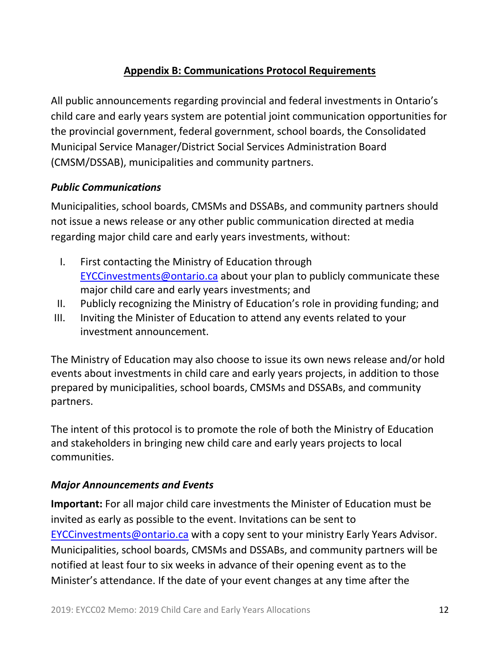### **Appendix B: Communications Protocol Requirements**

All public announcements regarding provincial and federal investments in Ontario's child care and early years system are potential joint communication opportunities for the provincial government, federal government, school boards, the Consolidated Municipal Service Manager/District Social Services Administration Board (CMSM/DSSAB), municipalities and community partners.

### *Public Communications*

Municipalities, school boards, CMSMs and DSSABs, and community partners should not issue a news release or any other public communication directed at media regarding major child care and early years investments, without:

- I. First contacting the Ministry of Education through [EYCCinvestments@ontario.ca](mailto:EYCCinvestments@ontario.ca) about your plan to publicly communicate these major child care and early years investments; and
- II. Publicly recognizing the Ministry of Education's role in providing funding; and
- III. Inviting the Minister of Education to attend any events related to your investment announcement.

The Ministry of Education may also choose to issue its own news release and/or hold events about investments in child care and early years projects, in addition to those prepared by municipalities, school boards, CMSMs and DSSABs, and community partners.

The intent of this protocol is to promote the role of both the Ministry of Education and stakeholders in bringing new child care and early years projects to local communities.

#### *Major Announcements and Events*

**Important:** For all major child care investments the Minister of Education must be invited as early as possible to the event. Invitations can be sent to [EYCCinvestments@ontario.ca](mailto:EYCCinvestments@ontario.ca) with a copy sent to your ministry Early Years Advisor. Municipalities, school boards, CMSMs and DSSABs, and community partners will be notified at least four to six weeks in advance of their opening event as to the Minister's attendance. If the date of your event changes at any time after the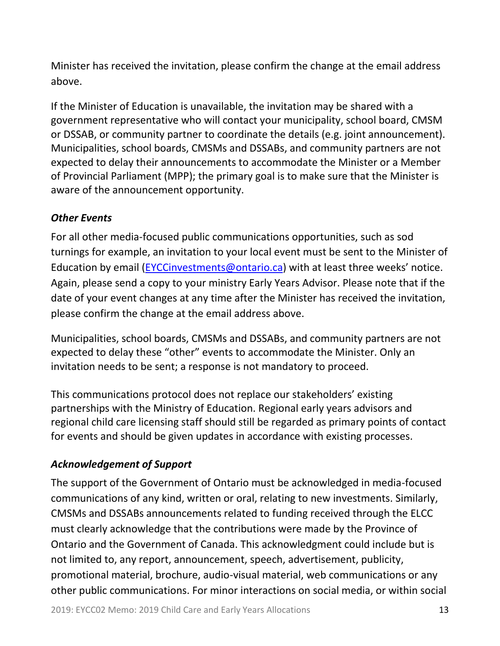Minister has received the invitation, please confirm the change at the email address above.

If the Minister of Education is unavailable, the invitation may be shared with a government representative who will contact your municipality, school board, CMSM or DSSAB, or community partner to coordinate the details (e.g. joint announcement). Municipalities, school boards, CMSMs and DSSABs, and community partners are not expected to delay their announcements to accommodate the Minister or a Member of Provincial Parliament (MPP); the primary goal is to make sure that the Minister is aware of the announcement opportunity.

### *Other Events*

For all other media-focused public communications opportunities, such as sod turnings for example, an invitation to your local event must be sent to the Minister of Education by email [\(EYCCinvestments@ontario.ca](mailto:EYCCinvestments@ontario.ca)) with at least three weeks' notice. Again, please send a copy to your ministry Early Years Advisor. Please note that if the date of your event changes at any time after the Minister has received the invitation, please confirm the change at the email address above.

Municipalities, school boards, CMSMs and DSSABs, and community partners are not expected to delay these "other" events to accommodate the Minister. Only an invitation needs to be sent; a response is not mandatory to proceed.

This communications protocol does not replace our stakeholders' existing partnerships with the Ministry of Education. Regional early years advisors and regional child care licensing staff should still be regarded as primary points of contact for events and should be given updates in accordance with existing processes.

# *Acknowledgement of Support*

The support of the Government of Ontario must be acknowledged in media-focused communications of any kind, written or oral, relating to new investments. Similarly, CMSMs and DSSABs announcements related to funding received through the ELCC must clearly acknowledge that the contributions were made by the Province of Ontario and the Government of Canada. This acknowledgment could include but is not limited to, any report, announcement, speech, advertisement, publicity, promotional material, brochure, audio-visual material, web communications or any other public communications. For minor interactions on social media, or within social